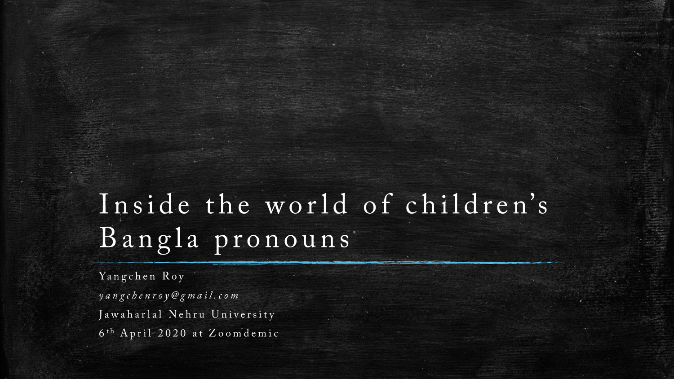# Inside the world of children's Bangla pronouns

Yangchen Roy yangchenroy@gmail.com Jawaharlal Nehru University 6<sup>th</sup> April 2020 at Zoomdemic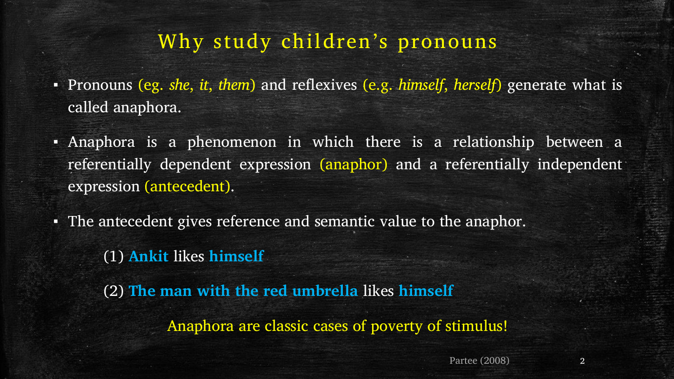#### Why study children's pronouns

- Pronouns (eg. *she*, *it*, *them*) and reflexives (e.g. *himself*, *herself*) generate what is called anaphora.
- Anaphora is a phenomenon in which there is a relationship between a referentially dependent expression (anaphor) and a referentially independent expression (antecedent).
- The antecedent gives reference and semantic value to the anaphor.

(1) **Ankit** likes **himself**

(2) **The man with the red umbrella** likes **himself** Anaphora are classic cases of poverty of stimulus!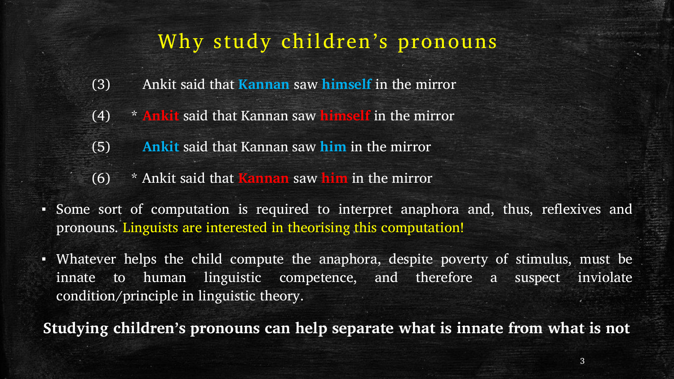#### Why study children's pronouns

- (3) Ankit said that **Kannan** saw **himself** in the mirror
- (4) \* **Ankit** said that Kannan saw **himself** in the mirror
- (5) **Ankit** said that Kannan saw **him** in the mirror
- (6) \* Ankit said that **Kannan** saw **him** in the mirror
- Some sort of computation is required to interpret anaphora and, thus, reflexives and pronouns. Linguists are interested in theorising this computation!
- Whatever helps the child compute the anaphora, despite poverty of stimulus, must be innate to human linguistic competence, and therefore a suspect inviolate condition/principle in linguistic theory.

**Studying children's pronouns can help separate what is innate from what is not**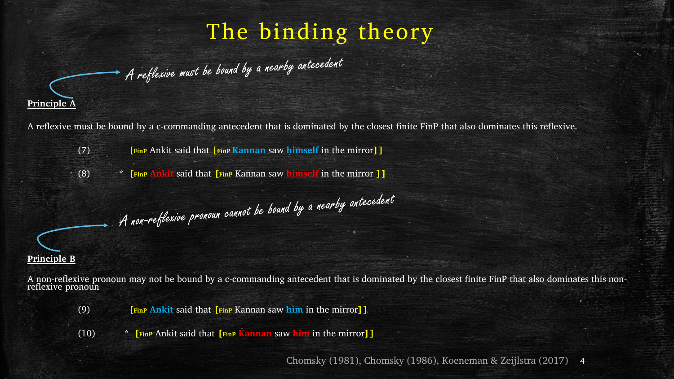### The binding theory



A reflexive must be bound by a nearby antecedent



A non-reflexive pronoun cannot be bound by a nearby antecedent

(7) **[FinP** Ankit said that **[FinP Kannan** saw **himself** in the mirror**]]**

(8) \* **[FinP Ankit** said that **[FinP** Kannan saw **himself** in the mirror **]]**

**Principle B** 

A non-reflexive pronoun may not be bound by a c-commanding antecedent that is dominated by the closest finite FinP that also dominates this nonreflexive pronoun

(9) **[FinP Ankit** said that **[FinP** Kannan saw **him** in the mirror**]]**

(10) \* **[FinP** Ankit said that **[FinP Kannan** saw **him** in the mirror**]]**

Chomsky (1981), Chomsky (1986), Koeneman & Zeijlstra (2017) 4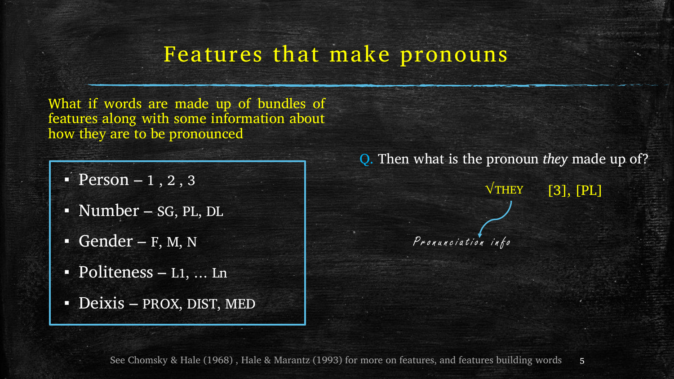#### Features that make pronouns

What if words are made up of bundles of features along with some information about how they are to be pronounced

- $\text{Person} 1, 2, 3$
- Number sG, PL, DL
- $\overline{\phantom{a}}$  Gender F, M, N
- **Politeness L1, ... Ln**
- Deixis PROX, DIST, MED

Q. Then what is the pronoun *they* made up of?

**√**THEY

[3], [PL]

Pronunciation info

See Chomsky & Hale (1968), Hale & Marantz (1993) for more on features, and features building words 5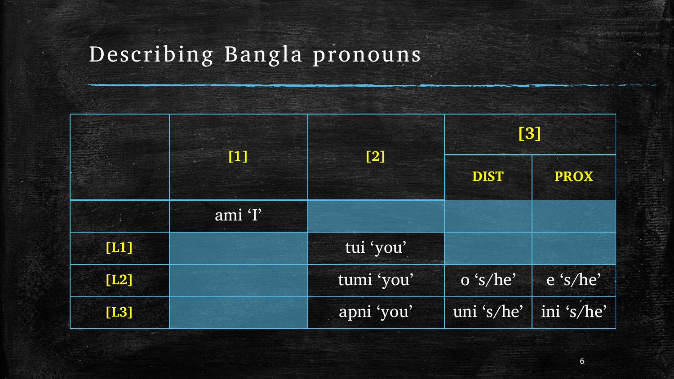## Describing Bangla pronouns

|      | $\left[1\right]$ |            | [3]         |             |  |
|------|------------------|------------|-------------|-------------|--|
|      |                  | [2]        | <b>DIST</b> | <b>PROX</b> |  |
|      | ami 'I'          |            |             |             |  |
| [L1] |                  | tui 'you'  |             |             |  |
| [L2] |                  | tumi 'you' | o 's/he'    | e 's/he'    |  |
| [L3] |                  | apni 'you' | uni 's/he'  | ini 's/he'  |  |

 $\boldsymbol{6}$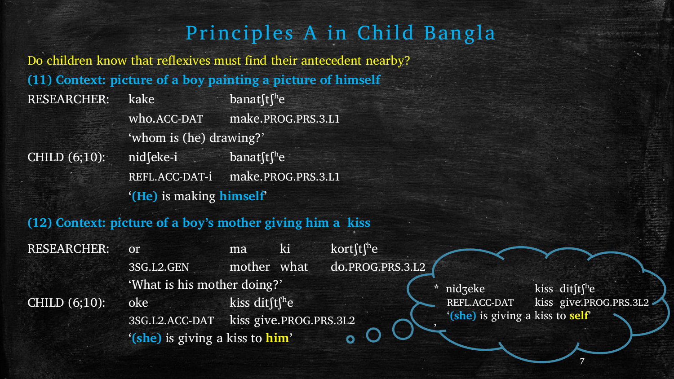#### Principles A in Child Bangla

Do children know that reflexives must find their antecedent nearby? **(11) Context: picture of a boy painting a picture of himself**  RESEARCHER: kake banat ft i<sup>h</sup>e who.ACC-DAT make.PROG.PRS.3.L1 'whom is (he) drawing?' CHILD  $(6;10)$ : nid $\int e^{k}e^{-k}$  banat $\int t \int^h e^{-k}$ 

REFL.ACC-DAT-i make.PROG.PRS.3.L1 '**(He)** is making **himself**'

**(12) Context: picture of a boy's mother giving him a kiss** 

RESEARCHER: or ma ki kort $\int$ the

3SG.L2.GEN mother what do.PROG.PRS.3.L2 'What is his mother doing?' CHILD  $(6;10)$ : oke kiss dit $\int$ t $\int$ <sup>h</sup>e 3SG.L2.ACC-DAT kiss give.PROG.PRS.3L2 '**(she)** is giving a kiss to **him**'

**nidzeke** kiss dit $ft^he$ REFL.ACC-DAT kiss give.PROG.PRS.3L2 '**(she)** is giving a kiss to **self**'

'

7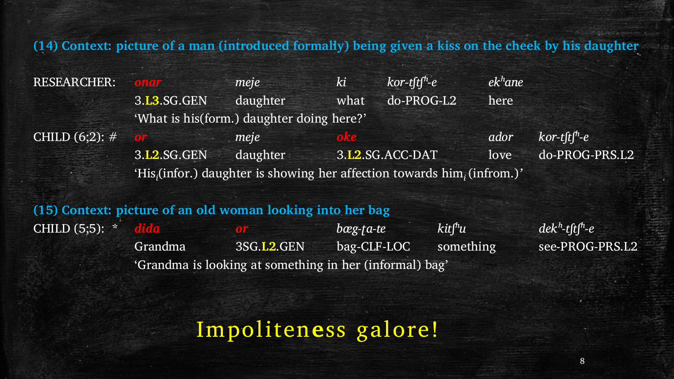**(14) Context: picture of a man (introduced formally) being given a kiss on the cheek by his daughter**

RESEARCHER: *onar meje ki kor-tʃtʃʰ-e ekʰane* 3.**L3**.SG.GEN daughter what do-PROG-L2 here 'What is his(form.) daughter doing here?' CHILD  $(6,2)$ :  $\#$  **or** *meje* **oke** *ador kor-tftf<sup>h</sup>-e* 3.**L2**.SG.GEN daughter 3.**L2**.SG.ACC-DAT love do-PROG-PRS.L2 'His*<sup>i</sup>* (infor.) daughter is showing her affection towards him*<sup>i</sup>* (infrom.)*'*

**(15) Context: picture of an old woman looking into her bag** CHILD (5;5): \* *dida or bæg-ʈa-te kitʃʰu dekʰ-tʃtʃʰ-e*  Grandma 3SG.L2.GEN bag-CLF-LOC something see-PROG-PRS.L2 'Grandma is looking at something in her (informal) bag'

Impoliten**e**ss galore!

8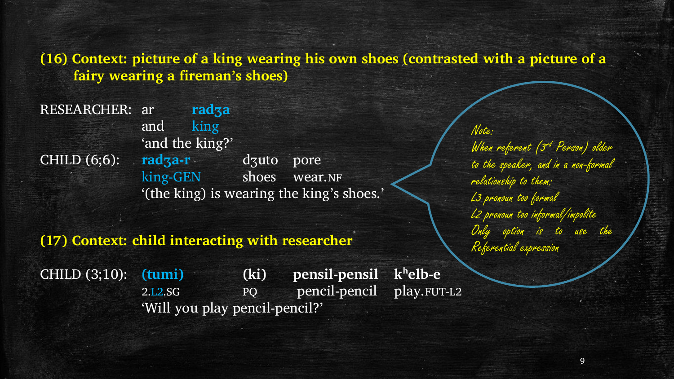#### **(16) Context: picture of a king wearing his own shoes (contrasted with a picture of a fairy wearing a fireman's shoes)**

RESEARCHER: ar **radʒa** and king 'and the king?' CHILD (6;6): **radʒa-r** dʒuto pore king-GEN shoes wear.NF '(the king) is wearing the king's shoes.'

#### **(17) Context: child interacting with researcher** Referential expression

CHILD (3;10): **(tumi) (ki) pensil-pensil kʰelb-e** 2.L2.SG PQ pencil-pencil play.FUT-L2 'Will you play pencil-pencil?'

Note: When referent (3<sup>rd</sup> Person) older to the speaker, and in a non-formal relationship to them: L3 pronoun too formal L2 pronoun too informal/impolite Only option is to use the

9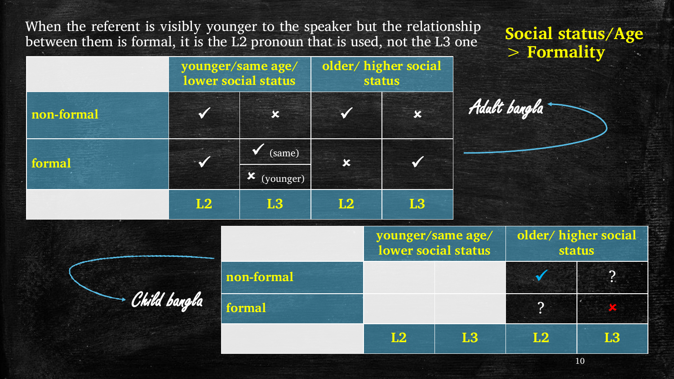When the referent is visibly younger to the speaker but the relationship between them is formal, it is the L2 pronoun that is used, not the L3 one

|              |    | younger/same age/<br>lower social status |                           | older/higher social<br><b>status</b> |                                          |                            |                |  |
|--------------|----|------------------------------------------|---------------------------|--------------------------------------|------------------------------------------|----------------------------|----------------|--|
| non-formal   |    | $\boldsymbol{\mathsf{x}}$                | $\sqrt{}$                 | $\mathbf x$                          |                                          | Adalt bangla               |                |  |
| formal       |    | $\sqrt{\ }$ (same)                       | $\boldsymbol{\mathsf{x}}$ | $\checkmark$                         |                                          |                            |                |  |
|              |    | <b>x</b> (younger)                       |                           |                                      |                                          |                            |                |  |
|              | L2 | <b>L3</b>                                | L2                        | <b>L3</b>                            |                                          |                            |                |  |
|              |    |                                          |                           |                                      | younger/same age/<br>lower social status | older/higher soc<br>status |                |  |
| Child bangla |    | non-formal                               |                           |                                      |                                          |                            | $\cdot$ ?      |  |
|              |    | formal                                   |                           |                                      |                                          | $\overline{?}$             |                |  |
|              |    |                                          |                           | L2                                   | <b>L3</b>                                | L2                         | L <sub>3</sub> |  |

**Social status/Age > Formality** 

10

**older/ higher social** 

Adult bangla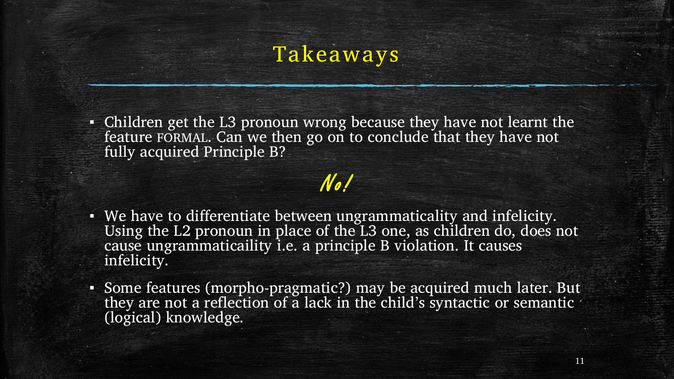### Takeaways

▪ Children get the L3 pronoun wrong because they have not learnt the feature FORMAL. Can we then go on to conclude that they have not fully acquired Principle B?

### No!

- We have to differentiate between ungrammaticality and infelicity. Using the L2 pronoun in place of the L3 one, as children do, does not cause ungrammaticaility i.e. a principle B violation. It causes infelicity.
- Some features (morpho-pragmatic?) may be acquired much later. But they are not a reflection of a lack in the child's syntactic or semantic (logical) knowledge.